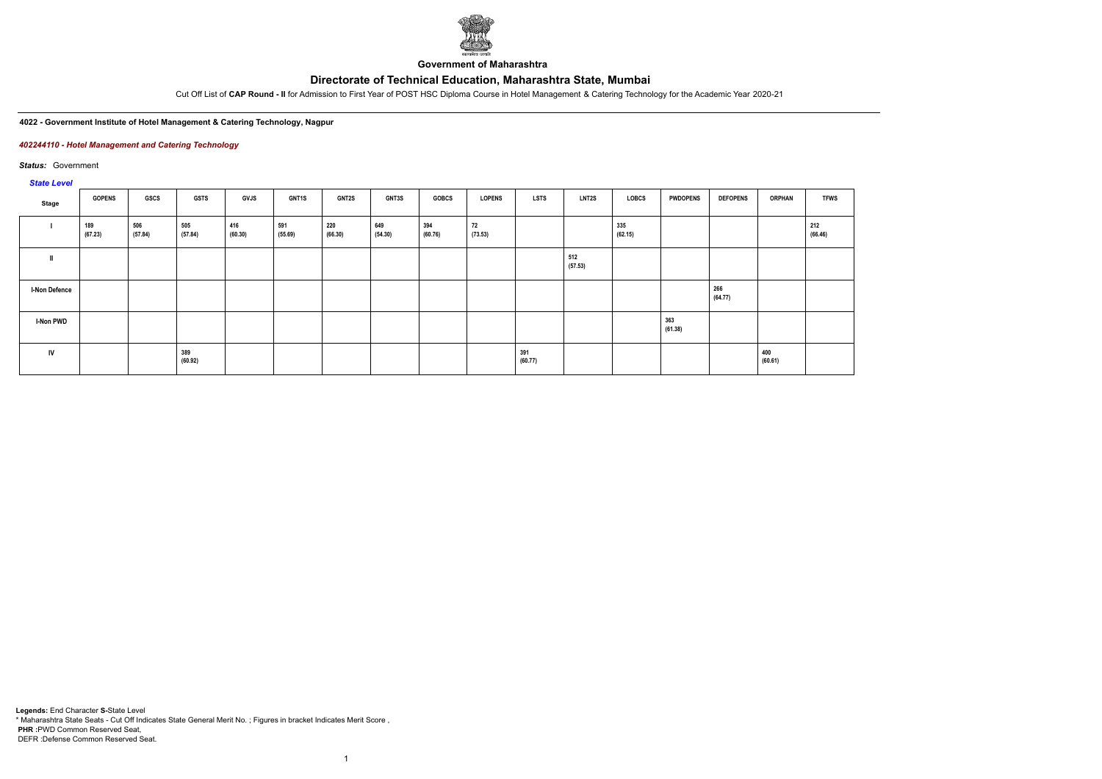# **Directorate of Technical Education, Maharashtra State, Mumbai**



**Government of Maharashtra**

Cut Off List of **CAP Round - II** for Admission to First Year of POST HSC Diploma Course in Hotel Management & Catering Technology for the Academic Year 2020-21

#### **4022 - Government Institute of Hotel Management & Catering Technology, Nagpur**

### *402244110 - Hotel Management and Catering Technology*

*Status:* Government

# *State Level*

| Stage                | <b>GOPENS</b>  | GSCS           | <b>GSTS</b>    | <b>GVJS</b>    | GNT1S          | <b>GNT2S</b>   | <b>GNT3S</b>   | <b>GOBCS</b>   | <b>LOPENS</b> | <b>LSTS</b>    | <b>LNT2S</b>   | LOBCS          | <b>PWDOPENS</b> | <b>DEFOPENS</b> | <b>ORPHAN</b>  | <b>TFWS</b>    |
|----------------------|----------------|----------------|----------------|----------------|----------------|----------------|----------------|----------------|---------------|----------------|----------------|----------------|-----------------|-----------------|----------------|----------------|
|                      | 189<br>(67.23) | 506<br>(57.84) | 505<br>(57.84) | 416<br>(60.30) | 591<br>(55.69) | 220<br>(66.30) | 649<br>(54.30) | 394<br>(60.76) | 72<br>(73.53) |                |                | 335<br>(62.15) |                 |                 |                | 212<br>(66.46) |
|                      |                |                |                |                |                |                |                |                |               |                | 512<br>(57.53) |                |                 |                 |                |                |
| <b>I-Non Defence</b> |                |                |                |                |                |                |                |                |               |                |                |                |                 | 266<br>(64.77)  |                |                |
| I-Non PWD            |                |                |                |                |                |                |                |                |               |                |                |                | 363<br>(61.38)  |                 |                |                |
| <b>IV</b>            |                |                | 389<br>(60.92) |                |                |                |                |                |               | 391<br>(60.77) |                |                |                 |                 | 400<br>(60.61) |                |

1

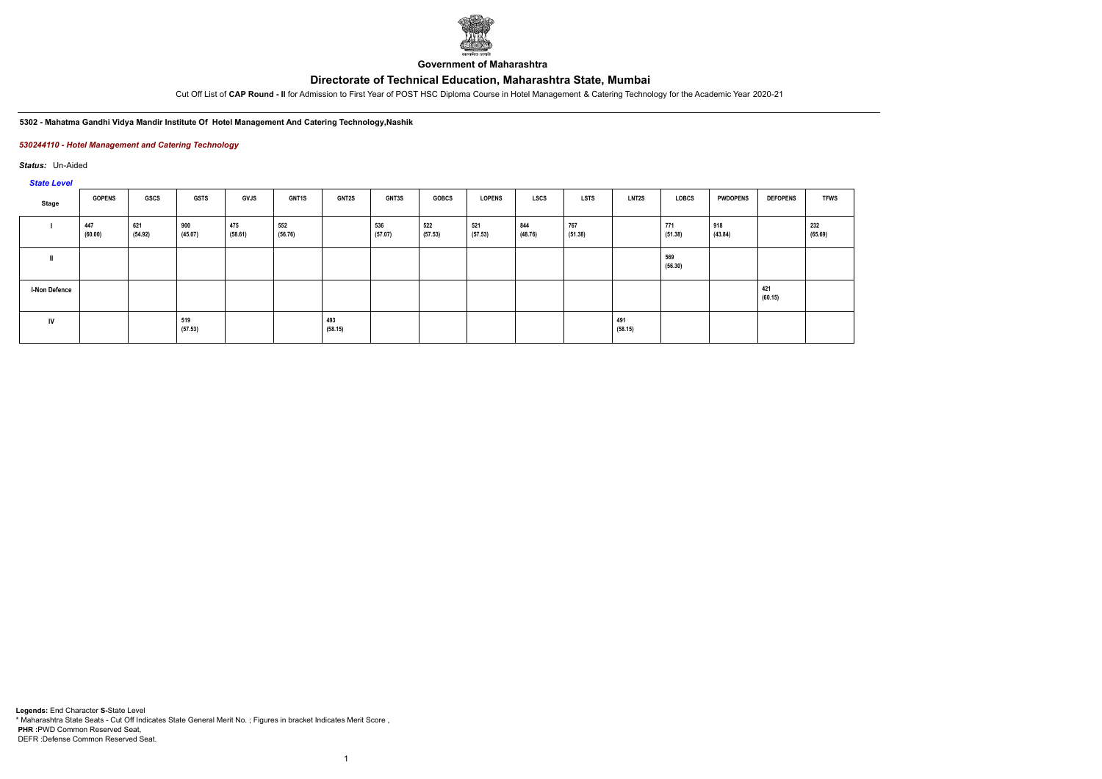# **Directorate of Technical Education, Maharashtra State, Mumbai**



**Government of Maharashtra**

Cut Off List of **CAP Round - II** for Admission to First Year of POST HSC Diploma Course in Hotel Management & Catering Technology for the Academic Year 2020-21

#### **5302 - Mahatma Gandhi Vidya Mandir Institute Of Hotel Management And Catering Technology,Nashik**

### *530244110 - Hotel Management and Catering Technology*

*Status:* Un-Aided

### *State Level*

| Stage                | <b>GOPENS</b>  | GSCS           | <b>GSTS</b>    | <b>GVJS</b>    | <b>GNT1S</b>   | <b>GNT2S</b>   | <b>GNT3S</b>   | <b>GOBCS</b>   | <b>LOPENS</b>  | <b>LSCS</b>    | <b>LSTS</b>    | <b>LNT2S</b>   | <b>LOBCS</b>   | <b>PWDOPENS</b> | <b>DEFOPENS</b> | <b>TFWS</b>    |
|----------------------|----------------|----------------|----------------|----------------|----------------|----------------|----------------|----------------|----------------|----------------|----------------|----------------|----------------|-----------------|-----------------|----------------|
|                      | 447<br>(60.00) | 621<br>(54.92) | 900<br>(45.07) | 475<br>(58.61) | 552<br>(56.76) |                | 536<br>(57.07) | 522<br>(57.53) | 521<br>(57.53) | 844<br>(48.76) | 767<br>(51.38) |                | 771<br>(51.38) | 918<br>(43.84)  |                 | 232<br>(65.69) |
|                      |                |                |                |                |                |                |                |                |                |                |                |                | 569<br>(56.30) |                 |                 |                |
| <b>I-Non Defence</b> |                |                |                |                |                |                |                |                |                |                |                |                |                |                 | 421<br>(60.15)  |                |
| IV                   |                |                | 519<br>(57.53) |                |                | 493<br>(58.15) |                |                |                |                |                | 491<br>(58.15) |                |                 |                 |                |

1